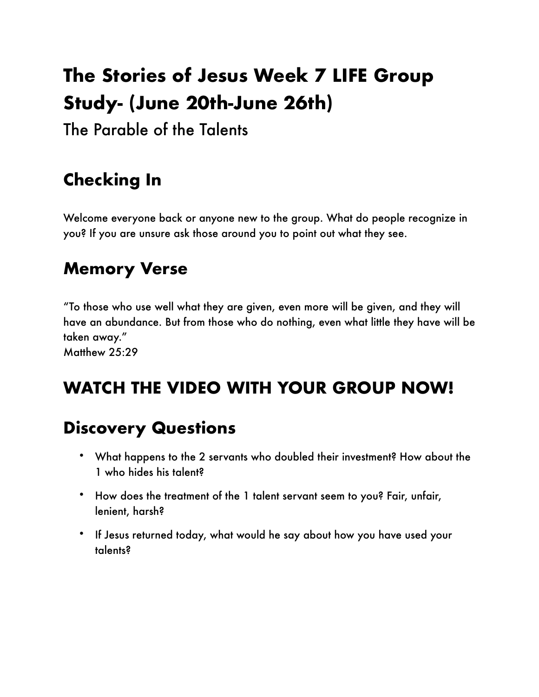# **The Stories of Jesus Week 7 LIFE Group Study- (June 20th-June 26th)**

The Parable of the Talents

## **Checking In**

Welcome everyone back or anyone new to the group. What do people recognize in you? If you are unsure ask those around you to point out what they see.

#### **Memory Verse**

"To those who use well what they are given, even more will be given, and they will have an abundance. But from those who do nothing, even what little they have will be taken away." Matthew 25:29

**WATCH THE VIDEO WITH YOUR GROUP NOW!**

### **Discovery Questions**

- What happens to the 2 servants who doubled their investment? How about the 1 who hides his talent?
- How does the treatment of the 1 talent servant seem to you? Fair, unfair, lenient, harsh?
- If Jesus returned today, what would he say about how you have used your talents?